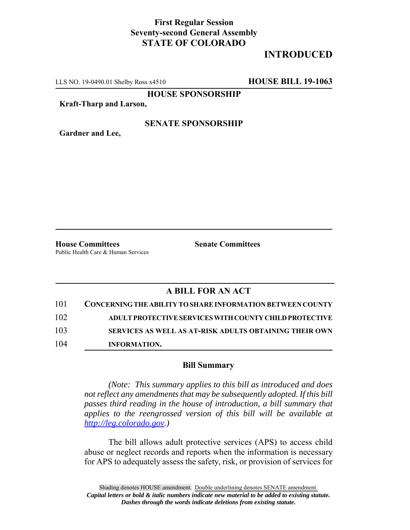## **First Regular Session Seventy-second General Assembly STATE OF COLORADO**

# **INTRODUCED**

LLS NO. 19-0490.01 Shelby Ross x4510 **HOUSE BILL 19-1063**

**HOUSE SPONSORSHIP**

**Kraft-Tharp and Larson,**

### **SENATE SPONSORSHIP**

**Gardner and Lee,**

**House Committees Senate Committees** Public Health Care & Human Services

## **A BILL FOR AN ACT**

| 101 | <b>CONCERNING THE ABILITY TO SHARE INFORMATION BETWEEN COUNTY</b> |
|-----|-------------------------------------------------------------------|
| 102 | ADULT PROTECTIVE SERVICES WITH COUNTY CHILD PROTECTIVE            |
| 103 | SERVICES AS WELL AS AT-RISK ADULTS OBTAINING THEIR OWN            |
| 104 | <b>INFORMATION.</b>                                               |

#### **Bill Summary**

*(Note: This summary applies to this bill as introduced and does not reflect any amendments that may be subsequently adopted. If this bill passes third reading in the house of introduction, a bill summary that applies to the reengrossed version of this bill will be available at http://leg.colorado.gov.)*

The bill allows adult protective services (APS) to access child abuse or neglect records and reports when the information is necessary for APS to adequately assess the safety, risk, or provision of services for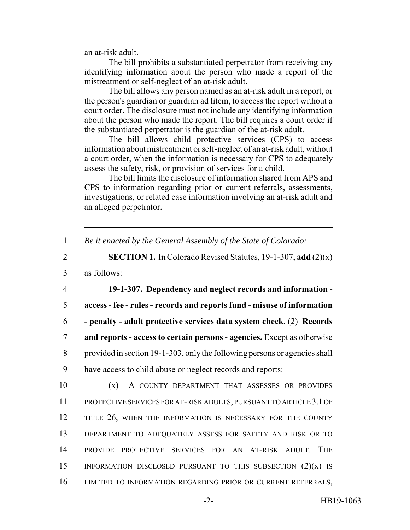an at-risk adult.

The bill prohibits a substantiated perpetrator from receiving any identifying information about the person who made a report of the mistreatment or self-neglect of an at-risk adult.

The bill allows any person named as an at-risk adult in a report, or the person's guardian or guardian ad litem, to access the report without a court order. The disclosure must not include any identifying information about the person who made the report. The bill requires a court order if the substantiated perpetrator is the guardian of the at-risk adult.

The bill allows child protective services (CPS) to access information about mistreatment or self-neglect of an at-risk adult, without a court order, when the information is necessary for CPS to adequately assess the safety, risk, or provision of services for a child.

The bill limits the disclosure of information shared from APS and CPS to information regarding prior or current referrals, assessments, investigations, or related case information involving an at-risk adult and an alleged perpetrator.

1 *Be it enacted by the General Assembly of the State of Colorado:*

2 **SECTION 1.** In Colorado Revised Statutes, 19-1-307, **add** (2)(x)

3 as follows:

 **19-1-307. Dependency and neglect records and information - access - fee - rules - records and reports fund - misuse of information - penalty - adult protective services data system check.** (2) **Records and reports - access to certain persons - agencies.** Except as otherwise provided in section 19-1-303, only the following persons or agencies shall have access to child abuse or neglect records and reports:

 (x) A COUNTY DEPARTMENT THAT ASSESSES OR PROVIDES PROTECTIVE SERVICES FOR AT-RISK ADULTS, PURSUANT TO ARTICLE 3.1 OF 12 TITLE 26, WHEN THE INFORMATION IS NECESSARY FOR THE COUNTY DEPARTMENT TO ADEQUATELY ASSESS FOR SAFETY AND RISK OR TO PROVIDE PROTECTIVE SERVICES FOR AN AT-RISK ADULT. THE 15 INFORMATION DISCLOSED PURSUANT TO THIS SUBSECTION  $(2)(x)$  is LIMITED TO INFORMATION REGARDING PRIOR OR CURRENT REFERRALS,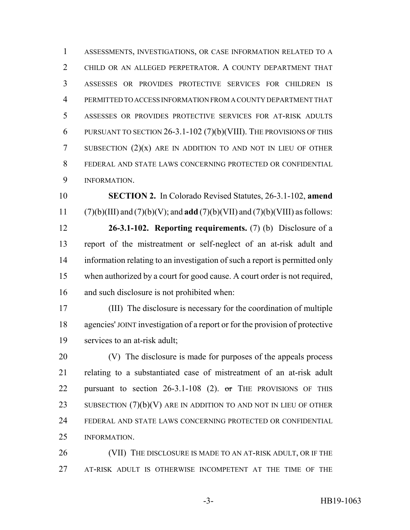ASSESSMENTS, INVESTIGATIONS, OR CASE INFORMATION RELATED TO A CHILD OR AN ALLEGED PERPETRATOR. A COUNTY DEPARTMENT THAT ASSESSES OR PROVIDES PROTECTIVE SERVICES FOR CHILDREN IS PERMITTED TO ACCESS INFORMATION FROM A COUNTY DEPARTMENT THAT ASSESSES OR PROVIDES PROTECTIVE SERVICES FOR AT-RISK ADULTS PURSUANT TO SECTION 26-3.1-102 (7)(b)(VIII). THE PROVISIONS OF THIS 7 SUBSECTION  $(2)(x)$  are in addition to and not in Lieu of other FEDERAL AND STATE LAWS CONCERNING PROTECTED OR CONFIDENTIAL INFORMATION.

 **SECTION 2.** In Colorado Revised Statutes, 26-3.1-102, **amend** (7)(b)(III) and (7)(b)(V); and **add** (7)(b)(VII) and (7)(b)(VIII) as follows:

 **26-3.1-102. Reporting requirements.** (7) (b) Disclosure of a report of the mistreatment or self-neglect of an at-risk adult and information relating to an investigation of such a report is permitted only when authorized by a court for good cause. A court order is not required, and such disclosure is not prohibited when:

 (III) The disclosure is necessary for the coordination of multiple agencies' JOINT investigation of a report or for the provision of protective services to an at-risk adult;

 (V) The disclosure is made for purposes of the appeals process relating to a substantiated case of mistreatment of an at-risk adult 22 pursuant to section  $26-3.1-108$  (2). or THE PROVISIONS OF THIS 23 SUBSECTION  $(7)(b)(V)$  are in addition to and not in Lieu of other FEDERAL AND STATE LAWS CONCERNING PROTECTED OR CONFIDENTIAL INFORMATION.

26 (VII) THE DISCLOSURE IS MADE TO AN AT-RISK ADULT, OR IF THE AT-RISK ADULT IS OTHERWISE INCOMPETENT AT THE TIME OF THE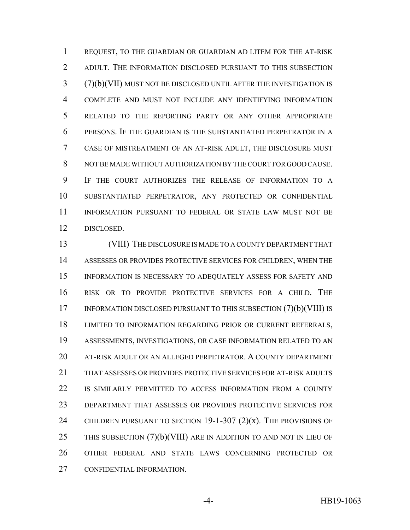REQUEST, TO THE GUARDIAN OR GUARDIAN AD LITEM FOR THE AT-RISK ADULT. THE INFORMATION DISCLOSED PURSUANT TO THIS SUBSECTION (7)(b)(VII) MUST NOT BE DISCLOSED UNTIL AFTER THE INVESTIGATION IS COMPLETE AND MUST NOT INCLUDE ANY IDENTIFYING INFORMATION RELATED TO THE REPORTING PARTY OR ANY OTHER APPROPRIATE PERSONS. IF THE GUARDIAN IS THE SUBSTANTIATED PERPETRATOR IN A CASE OF MISTREATMENT OF AN AT-RISK ADULT, THE DISCLOSURE MUST NOT BE MADE WITHOUT AUTHORIZATION BY THE COURT FOR GOOD CAUSE. IF THE COURT AUTHORIZES THE RELEASE OF INFORMATION TO A SUBSTANTIATED PERPETRATOR, ANY PROTECTED OR CONFIDENTIAL INFORMATION PURSUANT TO FEDERAL OR STATE LAW MUST NOT BE DISCLOSED.

 (VIII) THE DISCLOSURE IS MADE TO A COUNTY DEPARTMENT THAT ASSESSES OR PROVIDES PROTECTIVE SERVICES FOR CHILDREN, WHEN THE INFORMATION IS NECESSARY TO ADEQUATELY ASSESS FOR SAFETY AND RISK OR TO PROVIDE PROTECTIVE SERVICES FOR A CHILD. THE 17 INFORMATION DISCLOSED PURSUANT TO THIS SUBSECTION (7)(b)(VIII) IS LIMITED TO INFORMATION REGARDING PRIOR OR CURRENT REFERRALS, ASSESSMENTS, INVESTIGATIONS, OR CASE INFORMATION RELATED TO AN AT-RISK ADULT OR AN ALLEGED PERPETRATOR. A COUNTY DEPARTMENT THAT ASSESSES OR PROVIDES PROTECTIVE SERVICES FOR AT-RISK ADULTS IS SIMILARLY PERMITTED TO ACCESS INFORMATION FROM A COUNTY DEPARTMENT THAT ASSESSES OR PROVIDES PROTECTIVE SERVICES FOR 24 CHILDREN PURSUANT TO SECTION  $19-1-307$   $(2)(x)$ . The provisions of 25 THIS SUBSECTION  $(7)(b)(VIII)$  are in addition to and not in Lieu of OTHER FEDERAL AND STATE LAWS CONCERNING PROTECTED OR CONFIDENTIAL INFORMATION.